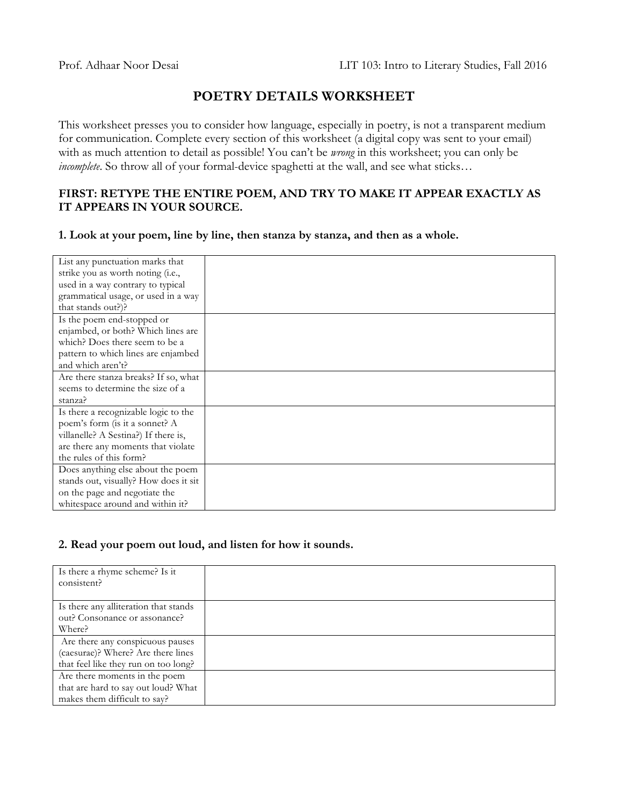# **POETRY DETAILS WORKSHEET**

This worksheet presses you to consider how language, especially in poetry, is not a transparent medium for communication. Complete every section of this worksheet (a digital copy was sent to your email) with as much attention to detail as possible! You can't be *wrong* in this worksheet; you can only be *incomplete*. So throw all of your formal-device spaghetti at the wall, and see what sticks...

### **FIRST: RETYPE THE ENTIRE POEM, AND TRY TO MAKE IT APPEAR EXACTLY AS IT APPEARS IN YOUR SOURCE.**

**1. Look at your poem, line by line, then stanza by stanza, and then as a whole.**

| List any punctuation marks that       |  |
|---------------------------------------|--|
| strike you as worth noting (i.e.,     |  |
| used in a way contrary to typical     |  |
| grammatical usage, or used in a way   |  |
| that stands out?)?                    |  |
| Is the poem end-stopped or            |  |
| enjambed, or both? Which lines are    |  |
| which? Does there seem to be a        |  |
| pattern to which lines are enjambed   |  |
| and which aren't?                     |  |
| Are there stanza breaks? If so, what  |  |
| seems to determine the size of a      |  |
| stanza?                               |  |
| Is there a recognizable logic to the  |  |
| poem's form (is it a sonnet? A        |  |
| villanelle? A Sestina?) If there is,  |  |
| are there any moments that violate    |  |
| the rules of this form?               |  |
| Does anything else about the poem     |  |
| stands out, visually? How does it sit |  |
| on the page and negotiate the         |  |
| whitespace around and within it?      |  |

## **2. Read your poem out loud, and listen for how it sounds.**

| Is there a rhyme scheme? Is it        |  |
|---------------------------------------|--|
| consistent?                           |  |
|                                       |  |
| Is there any alliteration that stands |  |
| out? Consonance or assonance?         |  |
| Where?                                |  |
| Are there any conspicuous pauses      |  |
| (caesurae)? Where? Are there lines    |  |
| that feel like they run on too long?  |  |
| Are there moments in the poem         |  |
| that are hard to say out loud? What   |  |
| makes them difficult to say?          |  |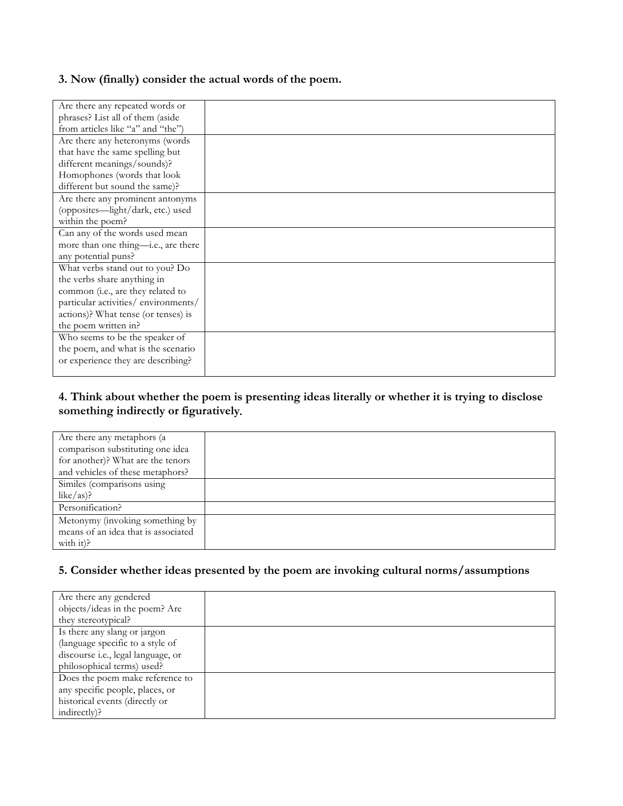### **3. Now (finally) consider the actual words of the poem.**

| Are there any repeated words or     |  |
|-------------------------------------|--|
| phrases? List all of them (aside    |  |
| from articles like "a" and "the")   |  |
| Are there any heteronyms (words     |  |
| that have the same spelling but     |  |
| different meanings/sounds)?         |  |
| Homophones (words that look         |  |
| different but sound the same)?      |  |
| Are there any prominent antonyms    |  |
| (opposites—light/dark, etc.) used   |  |
| within the poem?                    |  |
| Can any of the words used mean      |  |
| more than one thing-i.e., are there |  |
| any potential puns?                 |  |
| What verbs stand out to you? Do     |  |
| the verbs share anything in         |  |
| common (i.e., are they related to   |  |
| particular activities/environments/ |  |
| actions)? What tense (or tenses) is |  |
| the poem written in?                |  |
| Who seems to be the speaker of      |  |
| the poem, and what is the scenario  |  |
| or experience they are describing?  |  |
|                                     |  |

## **4. Think about whether the poem is presenting ideas literally or whether it is trying to disclose something indirectly or figuratively***.*

| Are there any metaphors (a)         |  |
|-------------------------------------|--|
| comparison substituting one idea    |  |
| for another)? What are the tenors   |  |
| and vehicles of these metaphors?    |  |
| Similes (comparisons using          |  |
| like/as)?                           |  |
| Personification?                    |  |
| Metonymy (invoking something by     |  |
| means of an idea that is associated |  |
| with it)?                           |  |

## **5. Consider whether ideas presented by the poem are invoking cultural norms/assumptions**

| Are there any gendered             |  |
|------------------------------------|--|
| objects/ideas in the poem? Are     |  |
| they stereotypical?                |  |
| Is there any slang or jargon       |  |
| (language specific to a style of   |  |
| discourse i.e., legal language, or |  |
| philosophical terms) used?         |  |
| Does the poem make reference to    |  |
| any specific people, places, or    |  |
| historical events (directly or     |  |
| indirectly)?                       |  |